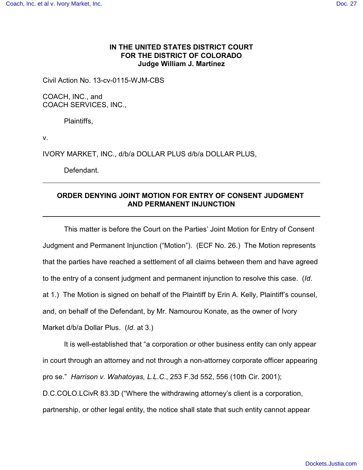## **IN THE UNITED STATES DISTRICT COURT FOR THE DISTRICT OF COLORADO Judge William J. Martínez**

Civil Action No. 13-cv-0115-WJM-CBS

COACH, INC., and COACH SERVICES, INC.,

Plaintiffs,

v.

IVORY MARKET, INC., d/b/a DOLLAR PLUS d/b/a DOLLAR PLUS,

Defendant.

## **ORDER DENYING JOINT MOTION FOR ENTRY OF CONSENT JUDGMENT AND PERMANENT INJUNCTION**

This matter is before the Court on the Parties' Joint Motion for Entry of Consent Judgment and Permanent Injunction ("Motion"). (ECF No. 26.) The Motion represents that the parties have reached a settlement of all claims between them and have agreed to the entry of a consent judgment and permanent injunction to resolve this case. (*Id*. at 1.) The Motion is signed on behalf of the Plaintiff by Erin A. Kelly, Plaintiff's counsel, and, on behalf of the Defendant, by Mr. Namourou Konate, as the owner of Ivory Market d/b/a Dollar Plus. (*Id*. at 3.)

It is well-established that "a corporation or other business entity can only appear in court through an attorney and not through a non-attorney corporate officer appearing pro se." *Harrison v. Wahatoyas, L.L.C.*, 253 F.3d 552, 556 (10th Cir. 2001); D.C.COLO.LCivR 83.3D ("Where the withdrawing attorney's client is a corporation, partnership, or other legal entity, the notice shall state that such entity cannot appear